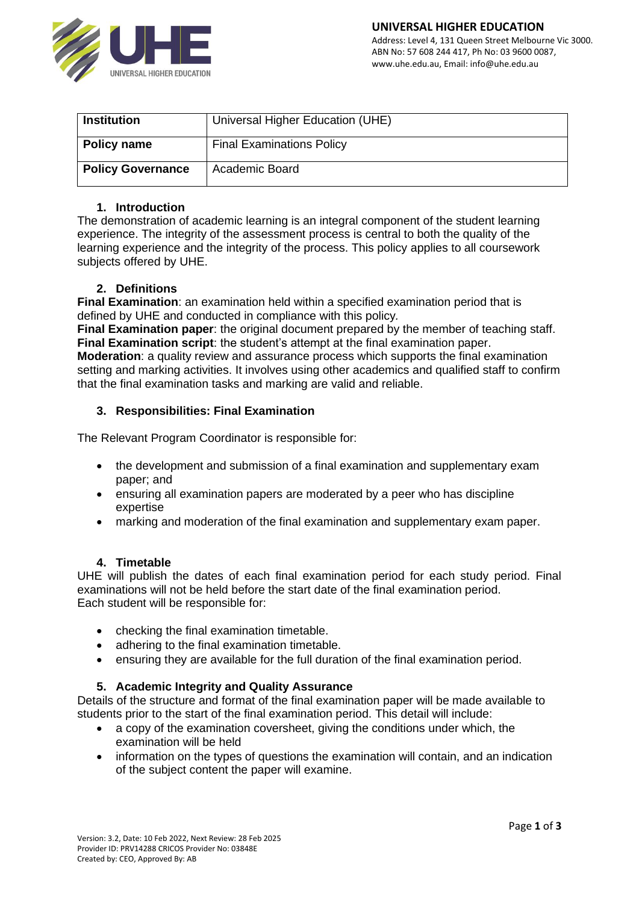

| <b>Institution</b>       | Universal Higher Education (UHE) |
|--------------------------|----------------------------------|
| Policy name              | <b>Final Examinations Policy</b> |
| <b>Policy Governance</b> | Academic Board                   |

### **1. Introduction**

The demonstration of academic learning is an integral component of the student learning experience. The integrity of the assessment process is central to both the quality of the learning experience and the integrity of the process. This policy applies to all coursework subjects offered by UHE.

### **2. Definitions**

**Final Examination**: an examination held within a specified examination period that is defined by UHE and conducted in compliance with this policy*.*

**Final Examination paper**: the original document prepared by the member of teaching staff. **Final Examination script**: the student's attempt at the final examination paper. **Moderation**: a quality review and assurance process which supports the final examination setting and marking activities. It involves using other academics and qualified staff to confirm that the final examination tasks and marking are valid and reliable.

### **3. Responsibilities: Final Examination**

The Relevant Program Coordinator is responsible for:

- the development and submission of a final examination and supplementary exam paper; and
- ensuring all examination papers are moderated by a peer who has discipline expertise
- marking and moderation of the final examination and supplementary exam paper.

#### **4. Timetable**

UHE will publish the dates of each final examination period for each study period. Final examinations will not be held before the start date of the final examination period. Each student will be responsible for:

- checking the final examination timetable.
- adhering to the final examination timetable.
- ensuring they are available for the full duration of the final examination period.

## **5. Academic Integrity and Quality Assurance**

Details of the structure and format of the final examination paper will be made available to students prior to the start of the final examination period. This detail will include:

- a copy of the examination coversheet, giving the conditions under which, the examination will be held
- information on the types of questions the examination will contain, and an indication of the subject content the paper will examine.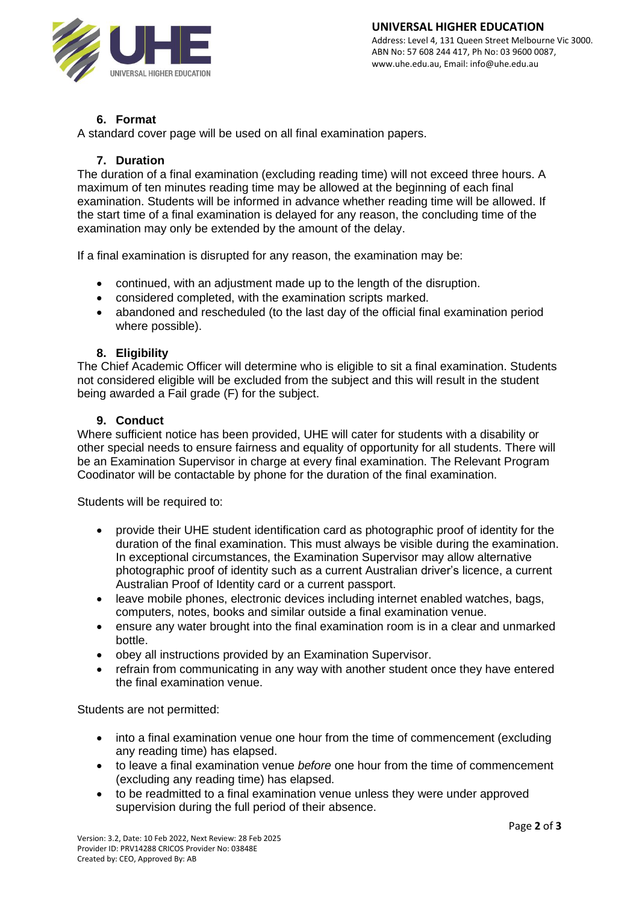

# **6. Format**

A standard cover page will be used on all final examination papers.

# **7. Duration**

The duration of a final examination (excluding reading time) will not exceed three hours. A maximum of ten minutes reading time may be allowed at the beginning of each final examination. Students will be informed in advance whether reading time will be allowed. If the start time of a final examination is delayed for any reason, the concluding time of the examination may only be extended by the amount of the delay.

If a final examination is disrupted for any reason, the examination may be:

- continued, with an adjustment made up to the length of the disruption.
- considered completed, with the examination scripts marked.
- abandoned and rescheduled (to the last day of the official final examination period where possible).

## **8. Eligibility**

The Chief Academic Officer will determine who is eligible to sit a final examination. Students not considered eligible will be excluded from the subject and this will result in the student being awarded a Fail grade (F) for the subject.

## **9. Conduct**

Where sufficient notice has been provided, UHE will cater for students with a disability or other special needs to ensure fairness and equality of opportunity for all students. There will be an Examination Supervisor in charge at every final examination. The Relevant Program Coodinator will be contactable by phone for the duration of the final examination.

Students will be required to:

- provide their UHE student identification card as photographic proof of identity for the duration of the final examination. This must always be visible during the examination. In exceptional circumstances, the Examination Supervisor may allow alternative photographic proof of identity such as a current Australian driver's licence, a current Australian Proof of Identity card or a current passport.
- leave mobile phones, electronic devices including internet enabled watches, bags, computers, notes, books and similar outside a final examination venue.
- ensure any water brought into the final examination room is in a clear and unmarked bottle.
- obey all instructions provided by an Examination Supervisor.
- refrain from communicating in any way with another student once they have entered the final examination venue.

Students are not permitted:

- into a final examination venue one hour from the time of commencement (excluding any reading time) has elapsed.
- to leave a final examination venue *before* one hour from the time of commencement (excluding any reading time) has elapsed.
- to be readmitted to a final examination venue unless they were under approved supervision during the full period of their absence.